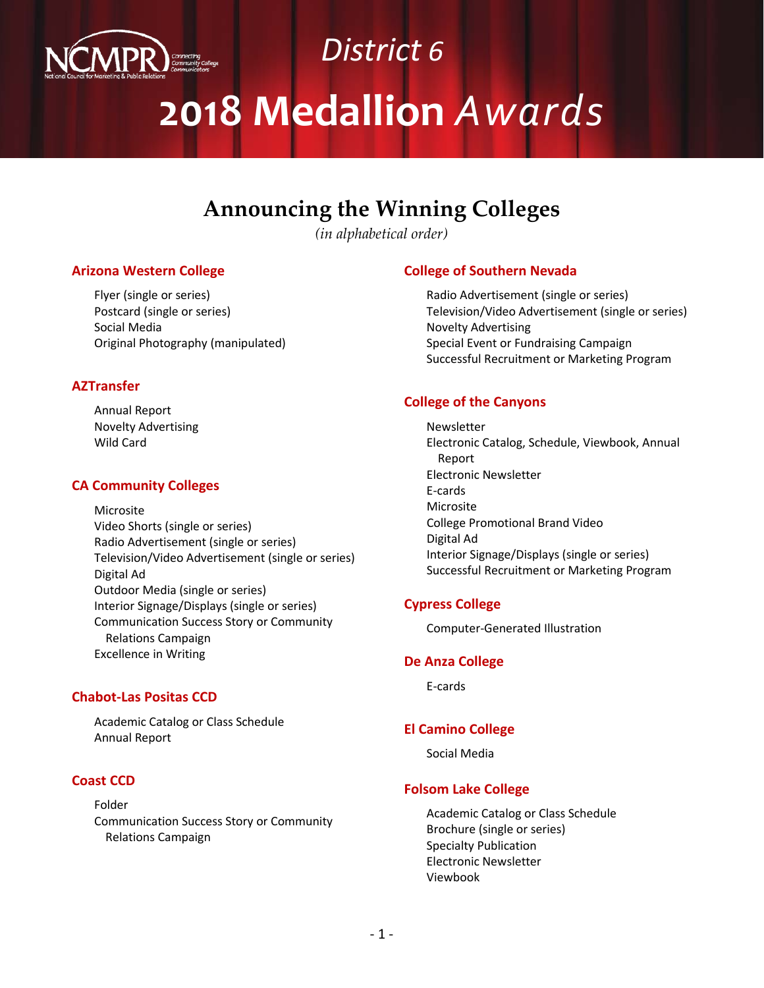

# *District 6* **2018 Medallion** *Awards*

# **Announcing the Winning Colleges**

*(in alphabetical order)*

#### **Arizona Western College**

Flyer (single or series) Postcard (single or series) Social Media Original Photography (manipulated)

#### **AZTransfer**

Annual Report Novelty Advertising Wild Card

#### **CA Community Colleges**

Microsite Video Shorts (single or series) Radio Advertisement (single or series) Television/Video Advertisement (single or series) Digital Ad Outdoor Media (single or series) Interior Signage/Displays (single or series) Communication Success Story or Community Relations Campaign Excellence in Writing

#### **Chabot-Las Positas CCD**

Academic Catalog or Class Schedule Annual Report

#### **Coast CCD**

Folder Communication Success Story or Community Relations Campaign

# **College of Southern Nevada**

Radio Advertisement (single or series) Television/Video Advertisement (single or series) Novelty Advertising Special Event or Fundraising Campaign Successful Recruitment or Marketing Program

# **College of the Canyons**

Newsletter Electronic Catalog, Schedule, Viewbook, Annual Report Electronic Newsletter E-cards Microsite College Promotional Brand Video Digital Ad Interior Signage/Displays (single or series) Successful Recruitment or Marketing Program

# **Cypress College**

Computer-Generated Illustration

#### **De Anza College**

E-cards

# **El Camino College**

Social Media

#### **Folsom Lake College**

Academic Catalog or Class Schedule Brochure (single or series) Specialty Publication Electronic Newsletter Viewbook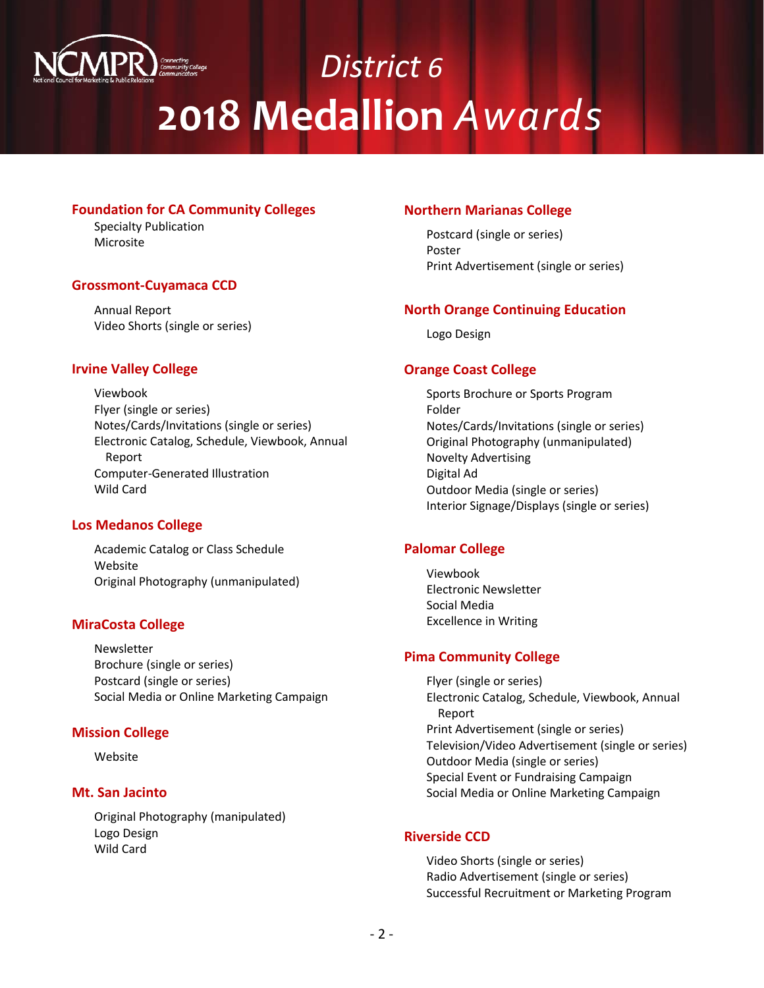

# *District 6* **2018 Medallion** *Awards*

### **Foundation for CA Community Colleges**

Specialty Publication Microsite

# **Grossmont-Cuyamaca CCD**

Annual Report Video Shorts (single or series)

# **Irvine Valley College**

Viewbook Flyer (single or series) Notes/Cards/Invitations (single or series) Electronic Catalog, Schedule, Viewbook, Annual Report Computer-Generated Illustration Wild Card

# **Los Medanos College**

Academic Catalog or Class Schedule Website Original Photography (unmanipulated)

# **MiraCosta College**

Newsletter Brochure (single or series) Postcard (single or series) Social Media or Online Marketing Campaign

#### **Mission College**

Website

#### **Mt. San Jacinto**

Original Photography (manipulated) Logo Design Wild Card

### **Northern Marianas College**

Postcard (single or series) Poster Print Advertisement (single or series)

# **North Orange Continuing Education**

Logo Design

# **Orange Coast College**

Sports Brochure or Sports Program Folder Notes/Cards/Invitations (single or series) Original Photography (unmanipulated) Novelty Advertising Digital Ad Outdoor Media (single or series) Interior Signage/Displays (single or series)

# **Palomar College**

Viewbook Electronic Newsletter Social Media Excellence in Writing

# **Pima Community College**

Flyer (single or series) Electronic Catalog, Schedule, Viewbook, Annual Report Print Advertisement (single or series) Television/Video Advertisement (single or series) Outdoor Media (single or series) Special Event or Fundraising Campaign Social Media or Online Marketing Campaign

#### **Riverside CCD**

Video Shorts (single or series) Radio Advertisement (single or series) Successful Recruitment or Marketing Program